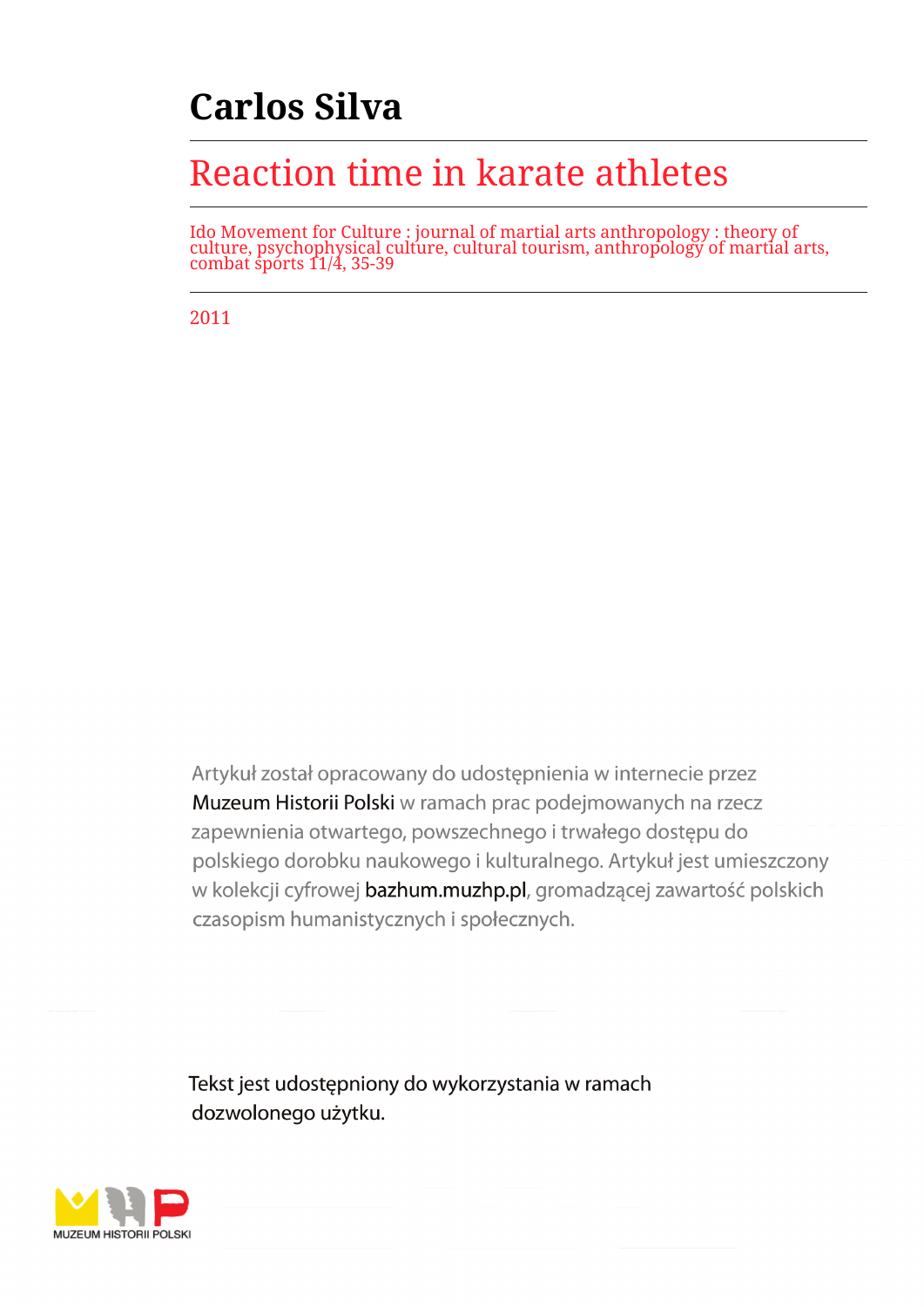# **Carlos Silva**

## Reaction time in karate athletes

Ido Movement for Culture : journal of martial arts anthropology : theory of culture, psychophysical culture, cultural tourism, anthropology of martial arts, combat sports 11/4, 35-39

2011

Artykuł został opracowany do udostepnienia w internecie przez Muzeum Historii Polski w ramach prac podejmowanych na rzecz zapewnienia otwartego, powszechnego i trwałego dostępu do polskiego dorobku naukowego i kulturalnego. Artykuł jest umieszczony w kolekcji cyfrowej bazhum.muzhp.pl, gromadzącej zawartość polskich czasopism humanistycznych i społecznych.

Tekst jest udostępniony do wykorzystania w ramach dozwolonego użytku.

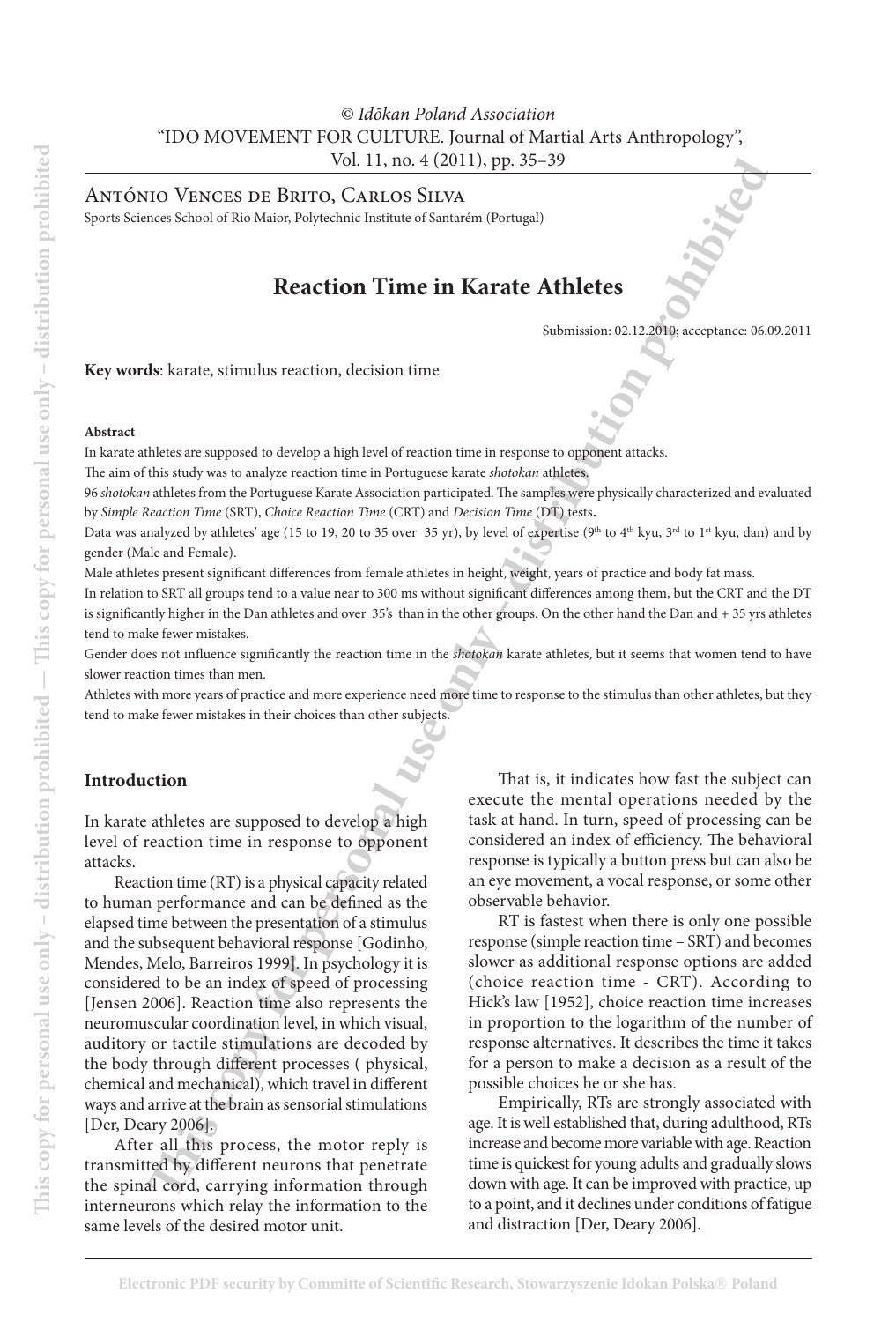## *© Idōkan Poland Association* "IDO MOVEMENT FOR CULTURE. Journal of Martial Arts Anthropology", Vol. 11, no. 4 (2011), pp. 35–39

António Vences de Brito, Carlos Silva

Sports Sciences School of Rio Maior, Polytechnic Institute of Santarém (Portugal)

## **Reaction Time in Karate Athletes**

Submission: 02.12.2010; acceptance: 06.09.2011

**Key words**: karate, stimulus reaction, decision time

#### **Abstract**

In karate athletes are supposed to develop a high level of reaction time in response to opponent attacks.

The aim of this study was to analyze reaction time in Portuguese karate *shotokan* athletes.

96 *shotokan* athletes from the Portuguese Karate Association participated. The samples were physically characterized and evaluated by *Simple Reaction Time* (SRT), *Choice Reaction Time* (CRT) and *Decision Time* (DT) tests**.**

Data was analyzed by athletes' age (15 to 19, 20 to 35 over 35 yr), by level of expertise (9<sup>th</sup> to 4<sup>th</sup> kyu, 3<sup>rd</sup> to 1<sup>st</sup> kyu, dan) and by gender (Male and Female).

Male athletes present significant differences from female athletes in height, weight, years of practice and body fat mass.

In relation to SRT all groups tend to a value near to 300 ms without significant differences among them, but the CRT and the DT is significantly higher in the Dan athletes and over 35's than in the other groups. On the other hand the Dan and + 35 yrs athletes tend to make fewer mistakes.

Gender does not influence significantly the reaction time in the *shotokan* karate athletes, but it seems that women tend to have slower reaction times than men.

Athletes with more years of practice and more experience need more time to response to the stimulus than other athletes, but they tend to make fewer mistakes in their choices than other subjects.

#### **Introduction**

In karate athletes are supposed to develop a high level of reaction time in response to opponent attacks.

Vol. 11, ms. 4 (2011), pp. 35-39<br>
Tho CHACCES DIV BRUES (SCARLOS STIVAL DESTRESS). The Barriston of the Minister of School STIVAL DESTRESS (SCARLOS CARLOS STIVAL DESTRESS). The personal user of the Minister of School of t Reaction time (RT) is a physical capacity related to human performance and can be defined as the elapsed time between the presentation of a stimulus and the subsequent behavioral response [Godinho, Mendes, Melo, Barreiros 1999]. In psychology it is considered to be an index of speed of processing [Jensen 2006]. Reaction time also represents the neuromuscular coordination level, in which visual, auditory or tactile stimulations are decoded by the body through different processes ( physical, chemical and mechanical), which travel in different ways and arrive at the brain as sensorial stimulations [Der, Deary 2006].

After all this process, the motor reply is transmitted by different neurons that penetrate the spinal cord, carrying information through interneurons which relay the information to the same levels of the desired motor unit.

That is, it indicates how fast the subject can execute the mental operations needed by the task at hand. In turn, speed of processing can be considered an index of efficiency. The behavioral response is typically a button press but can also be an eye movement, a vocal response, or some other observable behavior.

RT is fastest when there is only one possible response (simple reaction time – SRT) and becomes slower as additional response options are added (choice reaction time - CRT). According to Hick's law [1952], choice reaction time increases in proportion to the logarithm of the number of response alternatives. It describes the time it takes for a person to make a decision as a result of the possible choices he or she has.

Empirically, RTs are strongly associated with age. It is well established that, during adulthood, RTs increase and become more variable with age. Reaction time is quickest for young adults and gradually slows down with age. It can be improved with practice, up to a point, and it declines under conditions of fatigue and distraction [Der, Deary 2006].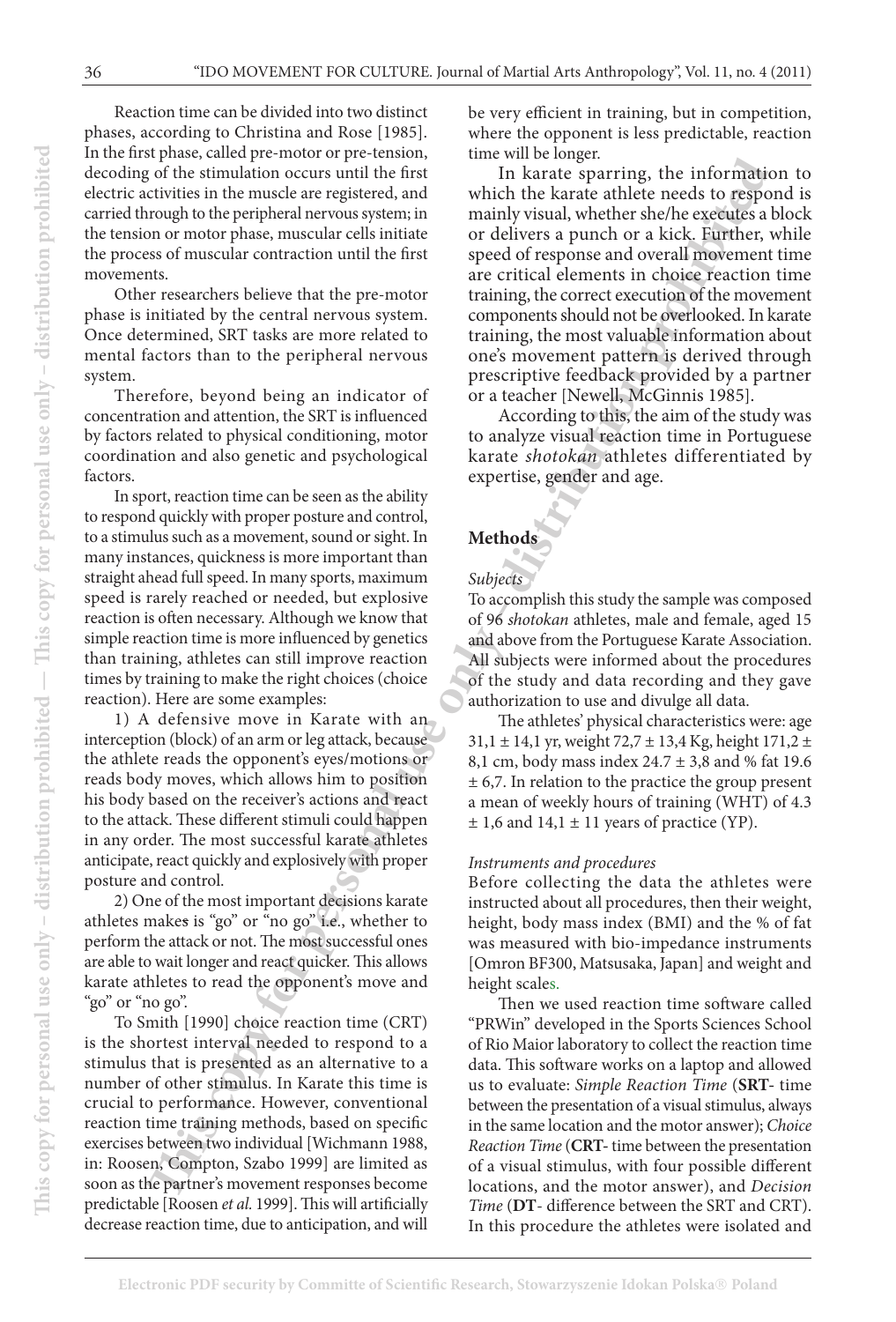Reaction time can be divided into two distinct phases, according to Christina and Rose [1985]. In the first phase, called pre-motor or pre-tension, decoding of the stimulation occurs until the first electric activities in the muscle are registered, and carried through to the peripheral nervous system; in the tension or motor phase, muscular cells initiate the process of muscular contraction until the first movements.

Other researchers believe that the pre-motor phase is initiated by the central nervous system. Once determined, SRT tasks are more related to mental factors than to the peripheral nervous system.

Therefore, beyond being an indicator of concentration and attention, the SRT is influenced by factors related to physical conditioning, motor coordination and also genetic and psychological factors.

In sport, reaction time can be seen as the ability to respond quickly with proper posture and control, to a stimulus such as a movement, sound or sight. In many instances, quickness is more important than straight ahead full speed. In many sports, maximum speed is rarely reached or needed, but explosive reaction is often necessary. Although we know that simple reaction time is more influenced by genetics than training, athletes can still improve reaction times by training to make the right choices (choice reaction). Here are some examples:

1) A defensive move in Karate with an interception (block) of an arm or leg attack, because the athlete reads the opponent's eyes/motions or reads body moves, which allows him to position his body based on the receiver's actions and react to the attack. These different stimuli could happen in any order. The most successful karate athletes anticipate, react quickly and explosively with proper posture and control.

2) One of the most important decisions karate athletes makes is "go" or "no go" i.e., whether to perform the attack or not. The most successful ones are able to wait longer and react quicker. This allows karate athletes to read the opponent's move and "go" or "no go".

To Smith [1990] choice reaction time (CRT) is the shortest interval needed to respond to a stimulus that is presented as an alternative to a number of other stimulus. In Karate this time is crucial to performance. However, conventional reaction time training methods, based on specific exercises between two individual [Wichmann 1988, in: Roosen, Compton, Szabo 1999] are limited as soon as the partner's movement responses become predictable [Roosen *et al.* 1999]. This will artificially decrease reaction time, due to anticipation, and will

be very efficient in training, but in competition, where the opponent is less predictable, reaction time will be longer.

For effect antitle in the contraction of the simulation of the simulation of the simulation of the simulation of the simulation of the simulation of the simulation of the simulation of the simulation of the personal use o In karate sparring, the information to which the karate athlete needs to respond is mainly visual, whether she/he executes a block or delivers a punch or a kick. Further, while speed of response and overall movement time are critical elements in choice reaction time training, the correct execution of the movement components should not be overlooked. In karate training, the most valuable information about one's movement pattern is derived through prescriptive feedback provided by a partner or a teacher [Newell, McGinnis 1985].

According to this, the aim of the study was to analyze visual reaction time in Portuguese karate *shotokan* athletes differentiated by expertise, gender and age.

## **Methods**

## *Subjects*

To accomplish this study the sample was composed of 96 *shotokan* athletes, male and female, aged 15 and above from the Portuguese Karate Association. All subjects were informed about the procedures of the study and data recording and they gave authorization to use and divulge all data.

The athletes' physical characteristics were: age 31,1  $\pm$  14,1 yr, weight 72,7  $\pm$  13,4 Kg, height 171,2  $\pm$ 8,1 cm, body mass index  $24.7 \pm 3.8$  and % fat 19.6 ± 6,7. In relation to the practice the group present a mean of weekly hours of training (WHT) of 4.3  $\pm$  1,6 and 14,1  $\pm$  11 years of practice (YP).

#### *Instruments and procedures*

Before collecting the data the athletes were instructed about all procedures, then their weight, height, body mass index (BMI) and the % of fat was measured with bio-impedance instruments [Omron BF300, Matsusaka, Japan] and weight and height scales.

Then we used reaction time software called "PRWin" developed in the Sports Sciences School of Rio Maior laboratory to collect the reaction time data. This software works on a laptop and allowed us to evaluate: *Simple Reaction Time* (**SRT-** time between the presentation of a visual stimulus, always in the same location and the motor answer); *Choice Reaction Time* (**CRT-** time between the presentation of a visual stimulus, with four possible different locations, and the motor answer), and *Decision Time* (**DT**- difference between the SRT and CRT). In this procedure the athletes were isolated and

**This copy for personal use only – distribution prohibited — This copy for personal use only – distribution prohibited**

This copy for personal use only – distribution prohibited  $-$  This copy for personal use only – distribution prohibited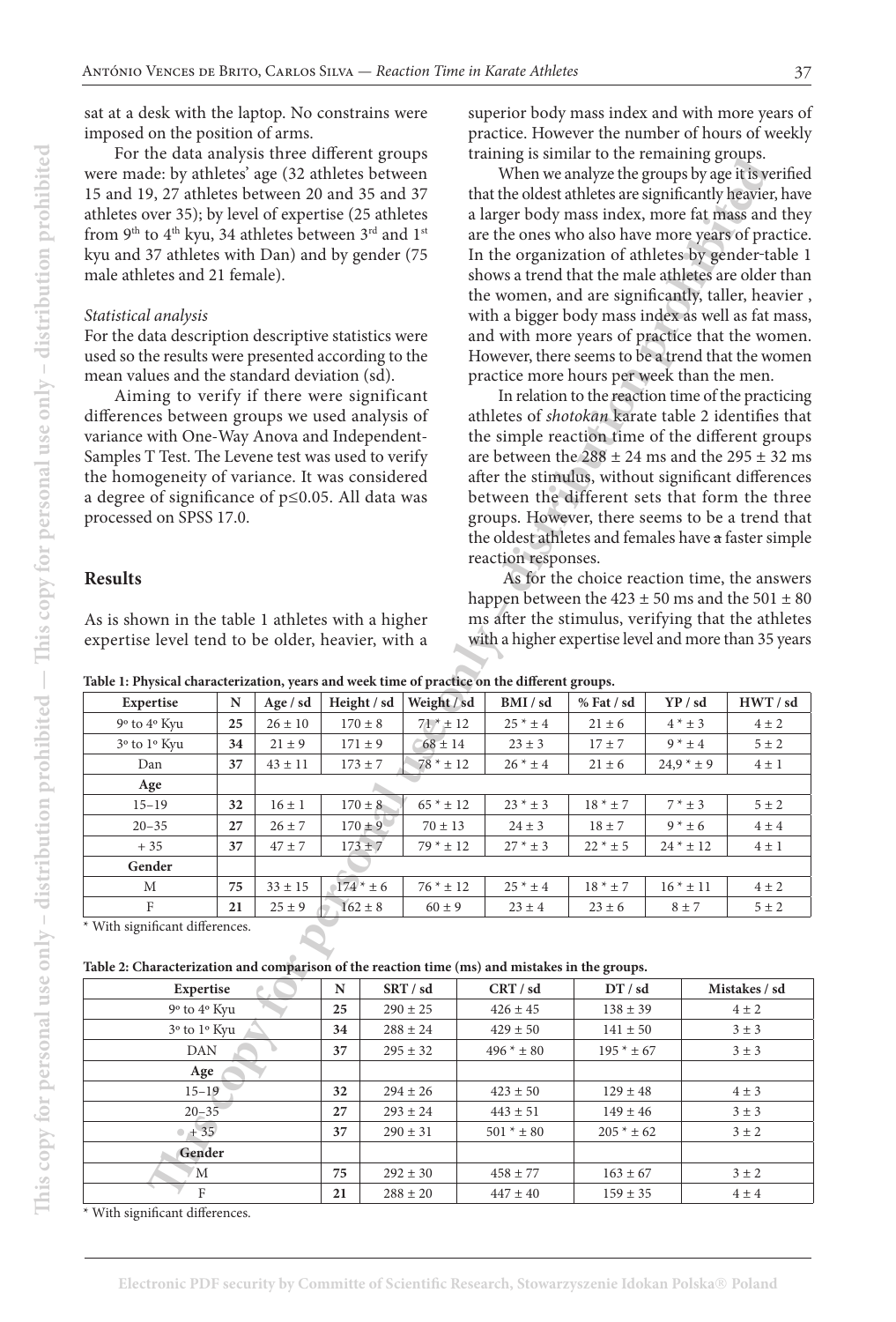sat at a desk with the laptop. No constrains were imposed on the position of arms.

For the data analysis three different groups were made: by athletes' age (32 athletes between 15 and 19, 27 athletes between 20 and 35 and 37 athletes over 35); by level of expertise (25 athletes from 9<sup>th</sup> to 4<sup>th</sup> kyu, 34 athletes between 3<sup>rd</sup> and 1<sup>st</sup> kyu and 37 athletes with Dan) and by gender (75 male athletes and 21 female).

#### *Statistical analysis*

#### **Results**

superior body mass index and with more years of practice. However the number of hours of weekly training is similar to the remaining groups.

| TOT the data analysis three different groups                                                         |           |             |              |             |                                                     |                                                                                                            | training is summar to the remaining groups.              |              |           |                                                   |                                                         |  |  |  |  |  |
|------------------------------------------------------------------------------------------------------|-----------|-------------|--------------|-------------|-----------------------------------------------------|------------------------------------------------------------------------------------------------------------|----------------------------------------------------------|--------------|-----------|---------------------------------------------------|---------------------------------------------------------|--|--|--|--|--|
| were made: by athletes' age (32 athletes between                                                     |           |             |              |             |                                                     |                                                                                                            | When we analyze the groups by age it is verified         |              |           |                                                   |                                                         |  |  |  |  |  |
| 15 and 19, 27 athletes between 20 and 35 and 37                                                      |           |             |              |             |                                                     |                                                                                                            | that the oldest athletes are significantly heavier, have |              |           |                                                   |                                                         |  |  |  |  |  |
| athletes over 35); by level of expertise (25 athletes                                                |           |             |              |             |                                                     |                                                                                                            | a larger body mass index, more fat mass and they         |              |           |                                                   |                                                         |  |  |  |  |  |
| from 9 <sup>th</sup> to 4 <sup>th</sup> kyu, 34 athletes between 3 <sup>rd</sup> and 1 <sup>st</sup> |           |             |              |             | are the ones who also have more years of practice.  |                                                                                                            |                                                          |              |           |                                                   |                                                         |  |  |  |  |  |
| kyu and 37 athletes with Dan) and by gender (75                                                      |           |             |              |             |                                                     |                                                                                                            |                                                          |              |           | In the organization of athletes by gender-table 1 |                                                         |  |  |  |  |  |
| male athletes and 21 female).                                                                        |           |             |              |             | shows a trend that the male athletes are older than |                                                                                                            |                                                          |              |           |                                                   |                                                         |  |  |  |  |  |
|                                                                                                      |           |             |              |             |                                                     | the women, and are significantly, taller, heavier,                                                         |                                                          |              |           |                                                   |                                                         |  |  |  |  |  |
| Statistical analysis                                                                                 |           |             |              |             |                                                     | with a bigger body mass index as well as fat mass,                                                         |                                                          |              |           |                                                   |                                                         |  |  |  |  |  |
| For the data description descriptive statistics were                                                 |           |             |              |             |                                                     | and with more years of practice that the women.                                                            |                                                          |              |           |                                                   |                                                         |  |  |  |  |  |
| used so the results were presented according to the                                                  |           |             |              |             | However, there seems to be a trend that the women   |                                                                                                            |                                                          |              |           |                                                   |                                                         |  |  |  |  |  |
| mean values and the standard deviation (sd).                                                         |           |             |              |             | practice more hours per week than the men.          |                                                                                                            |                                                          |              |           |                                                   |                                                         |  |  |  |  |  |
| Aiming to verify if there were significant                                                           |           |             |              |             |                                                     | In relation to the reaction time of the practicing                                                         |                                                          |              |           |                                                   |                                                         |  |  |  |  |  |
| differences between groups we used analysis of                                                       |           |             |              |             |                                                     | athletes of shotokan karate table 2 identifies that                                                        |                                                          |              |           |                                                   |                                                         |  |  |  |  |  |
| variance with One-Way Anova and Independent-                                                         |           |             |              |             |                                                     |                                                                                                            |                                                          |              |           |                                                   | the simple reaction time of the different groups        |  |  |  |  |  |
| Samples T Test. The Levene test was used to verify                                                   |           |             |              |             |                                                     |                                                                                                            |                                                          |              |           |                                                   | are between the $288 \pm 24$ ms and the $295 \pm 32$ ms |  |  |  |  |  |
| the homogeneity of variance. It was considered                                                       |           |             |              |             |                                                     |                                                                                                            |                                                          |              |           |                                                   | after the stimulus, without significant differences     |  |  |  |  |  |
| a degree of significance of $p \leq 0.05$ . All data was                                             |           |             |              |             |                                                     |                                                                                                            |                                                          |              |           |                                                   | between the different sets that form the three          |  |  |  |  |  |
| processed on SPSS 17.0.                                                                              |           |             |              |             |                                                     |                                                                                                            |                                                          |              |           |                                                   |                                                         |  |  |  |  |  |
|                                                                                                      |           |             |              |             |                                                     | groups. However, there seems to be a trend that<br>the oldest athletes and females have a faster simple    |                                                          |              |           |                                                   |                                                         |  |  |  |  |  |
|                                                                                                      |           |             |              |             |                                                     |                                                                                                            | reaction responses.                                      |              |           |                                                   |                                                         |  |  |  |  |  |
| <b>Results</b>                                                                                       |           |             |              |             |                                                     |                                                                                                            |                                                          |              |           |                                                   | As for the choice reaction time, the answers            |  |  |  |  |  |
|                                                                                                      |           |             |              |             |                                                     |                                                                                                            |                                                          |              |           |                                                   | happen between the $423 \pm 50$ ms and the $501 \pm 80$ |  |  |  |  |  |
| As is shown in the table 1 athletes with a higher                                                    |           |             |              |             |                                                     |                                                                                                            |                                                          |              |           |                                                   |                                                         |  |  |  |  |  |
| expertise level tend to be older, heavier, with a                                                    |           |             |              |             |                                                     | ms after the stimulus, verifying that the athletes<br>with a higher expertise level and more than 35 years |                                                          |              |           |                                                   |                                                         |  |  |  |  |  |
|                                                                                                      |           |             |              |             |                                                     |                                                                                                            |                                                          |              |           |                                                   |                                                         |  |  |  |  |  |
| Table 1: Physical characterization, years and week time of practice on the different groups.         |           |             |              |             |                                                     |                                                                                                            |                                                          |              |           |                                                   |                                                         |  |  |  |  |  |
| Expertise                                                                                            | ${\bf N}$ | Age / sd    | Height / sd  |             | Weight / sd                                         |                                                                                                            | BMI / sd                                                 | % Fat / sd   |           | YP / sd                                           | HWT / sd                                                |  |  |  |  |  |
| 9° to 4° Kyu                                                                                         | 25        | $26 \pm 10$ |              | $170\pm8$   | $71^* \pm 12$                                       |                                                                                                            | $25 * ± 4$                                               | $21 \pm 6$   |           | $4$ * $\pm$ 3                                     | $4 \pm 2$                                               |  |  |  |  |  |
| 3 <sup>°</sup> to 1 <sup>°</sup> Kyu                                                                 | 34        | $21\pm9$    |              | $171 \pm 9$ | $68 \pm 14$                                         |                                                                                                            | $23 \pm 3$                                               | $17 \pm 7$   |           | $9 * ± 4$                                         | $5\pm2$                                                 |  |  |  |  |  |
| Dan                                                                                                  | 37        | $43\pm11$   |              | $173 \pm 7$ | $78 * ± 12$                                         |                                                                                                            | $26 * ± 4$                                               | $21 \pm 6$   |           | $24.9 * ± 9$                                      | $4\pm1$                                                 |  |  |  |  |  |
| Age                                                                                                  |           |             |              |             |                                                     |                                                                                                            |                                                          |              |           |                                                   |                                                         |  |  |  |  |  |
| $15 - 19$                                                                                            | 32        | $16 \pm 1$  |              | $170 \pm 8$ | $65$ * $\pm$ 12                                     |                                                                                                            | $23$ * $\pm$ 3                                           | $18 * ± 7$   |           | $7 * ± 3$                                         | $5 \pm 2$                                               |  |  |  |  |  |
| $20 - 35$                                                                                            | 27        | $26\pm7$    |              | $170 \pm 9$ | $70\pm13$                                           |                                                                                                            | $24 \pm 3$                                               | $18\pm7$     | $9 * ± 6$ |                                                   | $4 \pm 4$                                               |  |  |  |  |  |
| $+35$                                                                                                | 37        | $47 \pm 7$  |              | $173 + 7$   | $79 * ± 12$                                         |                                                                                                            | $27 * ± 3$                                               | $22 * ± 5$   |           | $24 * ± 12$<br>$4 \pm 1$                          |                                                         |  |  |  |  |  |
| Gender                                                                                               |           |             |              |             |                                                     |                                                                                                            |                                                          |              |           |                                                   |                                                         |  |  |  |  |  |
| М                                                                                                    | 75        | $33\pm15$   |              | $174 * ± 6$ | $76$ * $\pm$ 12                                     |                                                                                                            | $25 * ± 4$                                               | $18 * ± 7$   |           | $16 * ± 11$                                       | $4 \pm 2$                                               |  |  |  |  |  |
| F                                                                                                    | 21        | $25 \pm 9$  |              | $162 \pm 8$ | $60 \pm 9$                                          |                                                                                                            | $23 \pm 4$                                               | $23 \pm 6$   |           | $8 \pm 7$                                         | $5 \pm 2$                                               |  |  |  |  |  |
| With significant differences.                                                                        |           |             |              |             |                                                     |                                                                                                            |                                                          |              |           |                                                   |                                                         |  |  |  |  |  |
|                                                                                                      |           |             |              |             |                                                     |                                                                                                            |                                                          |              |           |                                                   |                                                         |  |  |  |  |  |
| Table 2: Characterization and comparison of the reaction time (ms) and mistakes in the groups.       |           |             |              |             |                                                     |                                                                                                            |                                                          |              |           |                                                   |                                                         |  |  |  |  |  |
| Expertise                                                                                            | SRT / sd  |             | CRT / sd     | DT / sd     |                                                     |                                                                                                            | Mistakes / sd                                            |              |           |                                                   |                                                         |  |  |  |  |  |
| 9 <sup>o</sup> to 4 <sup>o</sup> Kyu                                                                 |           |             | 25           |             | $290 \pm 25$                                        |                                                                                                            | $426 \pm 45$                                             | $138 \pm 39$ |           |                                                   | $4 \pm 2$                                               |  |  |  |  |  |
| 3° to 1° Kyu                                                                                         | 34        |             | $288 \pm 24$ |             | $429\pm50$                                          | $141\pm50$                                                                                                 |                                                          |              | $3 \pm 3$ |                                                   |                                                         |  |  |  |  |  |
| DAN                                                                                                  | 37        |             | $295 \pm 32$ |             | $496 * ± 80$                                        | $195$ * $\pm$ 67                                                                                           |                                                          | $3 \pm 3$    |           |                                                   |                                                         |  |  |  |  |  |
| Age                                                                                                  |           |             |              |             |                                                     |                                                                                                            |                                                          |              |           |                                                   |                                                         |  |  |  |  |  |
| $15 - 19$                                                                                            | 32        |             | $294 \pm 26$ |             | $423 \pm 50$                                        | $129 \pm 48$                                                                                               |                                                          |              | $4 \pm 3$ |                                                   |                                                         |  |  |  |  |  |
| $20 - 35$                                                                                            | 27        |             | $293\pm24$   |             | $443 \pm 51$                                        | $149 \pm 46$                                                                                               |                                                          | $3\pm3$      |           |                                                   |                                                         |  |  |  |  |  |
| $+35$                                                                                                | 37        |             | $290\pm31$   |             | $501 * ± 80$                                        | $205 * ± 62$                                                                                               |                                                          |              | $3 \pm 2$ |                                                   |                                                         |  |  |  |  |  |
| Gender                                                                                               |           |             |              |             |                                                     |                                                                                                            |                                                          |              |           |                                                   |                                                         |  |  |  |  |  |
| M                                                                                                    |           |             | 75           |             | $292 \pm 30$                                        |                                                                                                            | $458 \pm 77$                                             | $163 \pm 67$ |           |                                                   | $3 \pm 2$                                               |  |  |  |  |  |
| $\boldsymbol{F}$                                                                                     |           |             | 21           |             | $288 \pm 20$                                        |                                                                                                            | $447 \pm 40$                                             | $159\pm35$   |           |                                                   | $4\pm4$                                                 |  |  |  |  |  |
|                                                                                                      |           |             |              |             |                                                     |                                                                                                            |                                                          |              |           |                                                   |                                                         |  |  |  |  |  |

**Table 1: Physical characterization, years and week time of practice on the different groups.** 

|  |  |  |  |  |  |  |  |  |  |  |  |  |  |  |  |  |  | Table 2: Characterization and comparison of the reaction time (ms) and mistakes in the groups. |  |  |  |  |  |
|--|--|--|--|--|--|--|--|--|--|--|--|--|--|--|--|--|--|------------------------------------------------------------------------------------------------|--|--|--|--|--|
|--|--|--|--|--|--|--|--|--|--|--|--|--|--|--|--|--|--|------------------------------------------------------------------------------------------------|--|--|--|--|--|

| Expertise                            | N  | SRT / sd     | CRT / sd     | DT / sd      | Mistakes / sd |
|--------------------------------------|----|--------------|--------------|--------------|---------------|
| 9 <sup>o</sup> to 4 <sup>o</sup> Kyu | 25 | $290 \pm 25$ | $426 \pm 45$ | $138 \pm 39$ | $4 \pm 2$     |
| $3o$ to $1o$ Kyu                     | 34 | $288 \pm 24$ | $429 \pm 50$ | $141 \pm 50$ | $3 \pm 3$     |
| DAN                                  | 37 | $295 \pm 32$ | $496 * ± 80$ | $195 * ± 67$ | $3 \pm 3$     |
| Age                                  |    |              |              |              |               |
| $15 - 19$                            | 32 | $294 \pm 26$ | $423 \pm 50$ | $129 \pm 48$ | $4 \pm 3$     |
| $20 - 35$                            | 27 | $293 \pm 24$ | $443 \pm 51$ | $149 \pm 46$ | $3 \pm 3$     |
| $+35$                                | 37 | $290 \pm 31$ | $501 * ± 80$ | $205 * ± 62$ | $3 \pm 2$     |
| Gender                               |    |              |              |              |               |
| M                                    | 75 | $292 \pm 30$ | $458 \pm 77$ | $163 \pm 67$ | $3 \pm 2$     |
| F                                    | 21 | $288 \pm 20$ | $447 \pm 40$ | $159 \pm 35$ | $4 \pm 4$     |

With significant differences.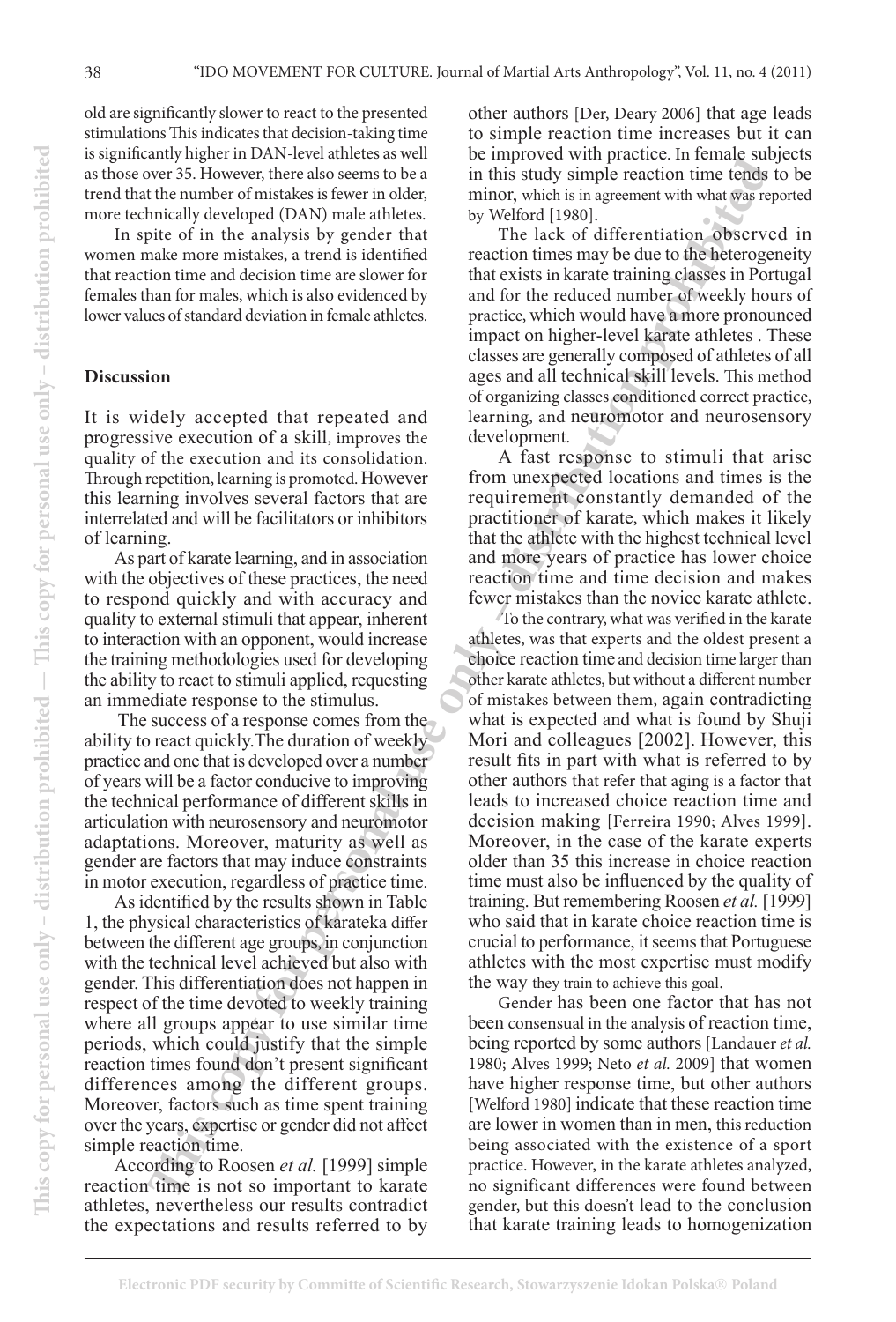old are significantly slower to react to the presented stimulations This indicates that decision-taking time is significantly higher in DAN-level athletes as well as those over 35. However, there also seems to be a trend that the number of mistakes is fewer in older, more technically developed (DAN) male athletes.

In spite of in the analysis by gender that women make more mistakes, a trend is identified that reaction time and decision time are slower for females than for males, which is also evidenced by lower values of standard deviation in female athletes.

### **Discussion**

It is widely accepted that repeated and progressive execution of a skill, improves the quality of the execution and its consolidation. Through repetition, learning is promoted. However this learning involves several factors that are interrelated and will be facilitators or inhibitors of learning.

As part of karate learning, and in association with the objectives of these practices, the need to respond quickly and with accuracy and quality to external stimuli that appear, inherent to interaction with an opponent, would increase the training methodologies used for developing the ability to react to stimuli applied, requesting an immediate response to the stimulus.

 The success of a response comes from the ability to react quickly.The duration of weekly practice and one that is developed over a number of years will be a factor conducive to improving the technical performance of different skills in articulation with neurosensory and neuromotor adaptations. Moreover, maturity as well as gender are factors that may induce constraints in motor execution, regardless of practice time.

As identified by the results shown in Table 1, the physical characteristics of karateka differ between the different age groups, in conjunction with the technical level achieved but also with gender. This differentiation does not happen in respect of the time devoted to weekly training where all groups appear to use similar time periods, which could justify that the simple reaction times found don't present significant differences among the different groups. Moreover, factors such as time spent training over the years, expertise or gender did not affect simple reaction time.

According to Roosen *et al.* [1999] simple reaction time is not so important to karate athletes, nevertheless our results contradict the expectations and results referred to by

other authors [Der, Deary 2006] that age leads to simple reaction time increases but it can be improved with practice. In female subjects in this study simple reaction time tends to be minor, which is in agreement with what was reported by Welford [1980].

The lack of differentiation observed in reaction times may be due to the heterogeneity that exists in karate training classes in Portugal and for the reduced number of weekly hours of practice, which would have a more pronounced impact on higher-level karate athletes . These classes are generally composed of athletes of all ages and all technical skill levels. This method of organizing classes conditioned correct practice, learning, and neuromotor and neurosensory development.

A fast response to stimuli that arise from unexpected locations and times is the requirement constantly demanded of the practitioner of karate, which makes it likely that the athlete with the highest technical level and more years of practice has lower choice reaction time and time decision and makes fewer mistakes than the novice karate athlete.

every the measure of the state is the state in this state with simple reaction time fertiles are the state in this state with simple reaction time and the state is the state of the multive dependent (DAN) male allotles. by To the contrary, what was verified in the karate athletes, was that experts and the oldest present a choice reaction time and decision time larger than other karate athletes, but without a different number of mistakes between them, again contradicting what is expected and what is found by Shuji Mori and colleagues [2002]. However, this result fits in part with what is referred to by other authors that refer that aging is a factor that leads to increased choice reaction time and decision making [Ferreira 1990; Alves 1999]. Moreover, in the case of the karate experts older than 35 this increase in choice reaction time must also be influenced by the quality of training. But remembering Roosen *et al.* [1999] who said that in karate choice reaction time is crucial to performance, it seems that Portuguese athletes with the most expertise must modify the way they train to achieve this goal.

Gender has been one factor that has not been consensual in the analysis of reaction time, being reported by some authors [Landauer *et al.* 1980; Alves 1999; Neto *et al.* 2009] that women have higher response time, but other authors [Welford 1980] indicate that these reaction time are lower in women than in men, this reduction being associated with the existence of a sport practice. However, in the karate athletes analyzed, no significant differences were found between gender, but this doesn't lead to the conclusion that karate training leads to homogenization